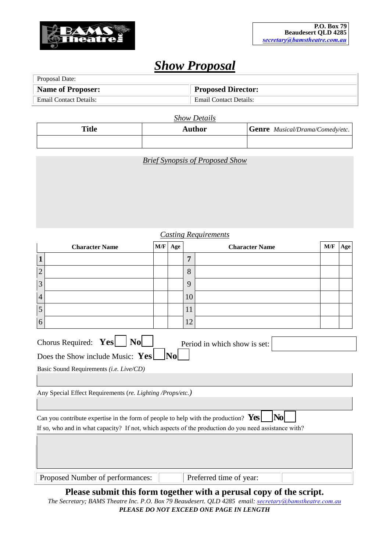

# *Show Proposal*

| Proposal Date:           |                               |  |  |  |
|--------------------------|-------------------------------|--|--|--|
| <b>Name of Proposer:</b> | <b>Proposed Director:</b>     |  |  |  |
| Email Contact Details:   | <b>Email Contact Details:</b> |  |  |  |

*Show Details*

| <b>Title</b> | <b>Author</b> | <b>Genre</b> Musical/Drama/Comedy/etc. |
|--------------|---------------|----------------------------------------|
|              |               |                                        |

*Brief Synopsis of Proposed Show* 

| <b>Casting Requirements</b>                                                                                                                                                                                                                                                                                                                                                                                                                          |     |     |                       |                         |     |     |  |  |
|------------------------------------------------------------------------------------------------------------------------------------------------------------------------------------------------------------------------------------------------------------------------------------------------------------------------------------------------------------------------------------------------------------------------------------------------------|-----|-----|-----------------------|-------------------------|-----|-----|--|--|
| <b>Character Name</b>                                                                                                                                                                                                                                                                                                                                                                                                                                | M/F | Age | <b>Character Name</b> |                         | M/F | Age |  |  |
| 1                                                                                                                                                                                                                                                                                                                                                                                                                                                    |     |     | 7                     |                         |     |     |  |  |
| $\overline{2}$                                                                                                                                                                                                                                                                                                                                                                                                                                       |     |     | 8                     |                         |     |     |  |  |
| 3                                                                                                                                                                                                                                                                                                                                                                                                                                                    |     |     | 9                     |                         |     |     |  |  |
| $\overline{4}$                                                                                                                                                                                                                                                                                                                                                                                                                                       |     |     | 10                    |                         |     |     |  |  |
| 5                                                                                                                                                                                                                                                                                                                                                                                                                                                    |     |     | 11                    |                         |     |     |  |  |
| 6                                                                                                                                                                                                                                                                                                                                                                                                                                                    |     |     | 12                    |                         |     |     |  |  |
| Chorus Required: Yes<br>$\vert$ No $\vert$<br>Period in which show is set:<br>$ {\bf N_0} $<br>Does the Show include Music: $Yes$<br>Basic Sound Requirements (i.e. Live/CD)<br>Any Special Effect Requirements (re. Lighting /Props/etc.)<br> No <br>Can you contribute expertise in the form of people to help with the production? $Yes$<br>If so, who and in what capacity? If not, which aspects of the production do you need assistance with? |     |     |                       |                         |     |     |  |  |
| Proposed Number of performances:                                                                                                                                                                                                                                                                                                                                                                                                                     |     |     |                       | Preferred time of year: |     |     |  |  |

**Please submit this form together with a perusal copy of the script.**  *The Secretary; BAMS Theatre Inc. P.O. Box 79 Beaudesert. QLD 4285 email: se[cretary@bamstheatre.com](mailto:bamstheatre@gmail.com).au PLEASE DO NOT EXCEED ONE PAGE IN LENGTH*